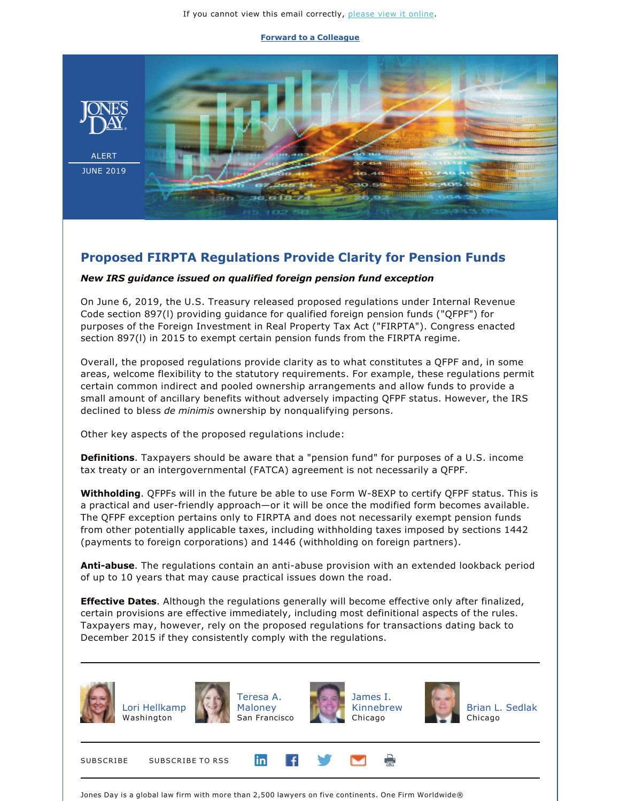## **[Forward to a Colleague](https://jonesday-ecommunications.com/5/69/landing-pages/forward-to-a-friend.asp)**



## **Proposed FIRPTA Regulations Provide Clarity for Pension Funds**

## *New IRS guidance issued on qualified foreign pension fund exception*

On June 6, 2019, the U.S. Treasury released proposed regulations under Internal Revenue Code section 897(l) providing guidance for qualified foreign pension funds ("QFPF") for purposes of the Foreign Investment in Real Property Tax Act ("FIRPTA"). Congress enacted section 897(l) in 2015 to exempt certain pension funds from the FIRPTA regime.

Overall, the proposed regulations provide clarity as to what constitutes a QFPF and, in some areas, welcome flexibility to the statutory requirements. For example, these regulations permit certain common indirect and pooled ownership arrangements and allow funds to provide a small amount of ancillary benefits without adversely impacting QFPF status. However, the IRS declined to bless *de minimis* ownership by nonqualifying persons.

Other key aspects of the proposed regulations include:

**Definitions**. Taxpayers should be aware that a "pension fund" for purposes of a U.S. income tax treaty or an intergovernmental (FATCA) agreement is not necessarily a QFPF.

**Withholding**. QFPFs will in the future be able to use Form W-8EXP to certify QFPF status. This is a practical and user-friendly approach—or it will be once the modified form becomes available. The QFPF exception pertains only to FIRPTA and does not necessarily exempt pension funds from other potentially applicable taxes, including withholding taxes imposed by sections 1442 (payments to foreign corporations) and 1446 (withholding on foreign partners).

**Anti-abuse**. The regulations contain an anti-abuse provision with an extended lookback period of up to 10 years that may cause practical issues down the road.

**Effective Dates**. Although the regulations generally will become effective only after finalized, certain provisions are effective immediately, including most definitional aspects of the rules. Taxpayers may, however, rely on the proposed regulations for transactions dating back to December 2015 if they consistently comply with the regulations.